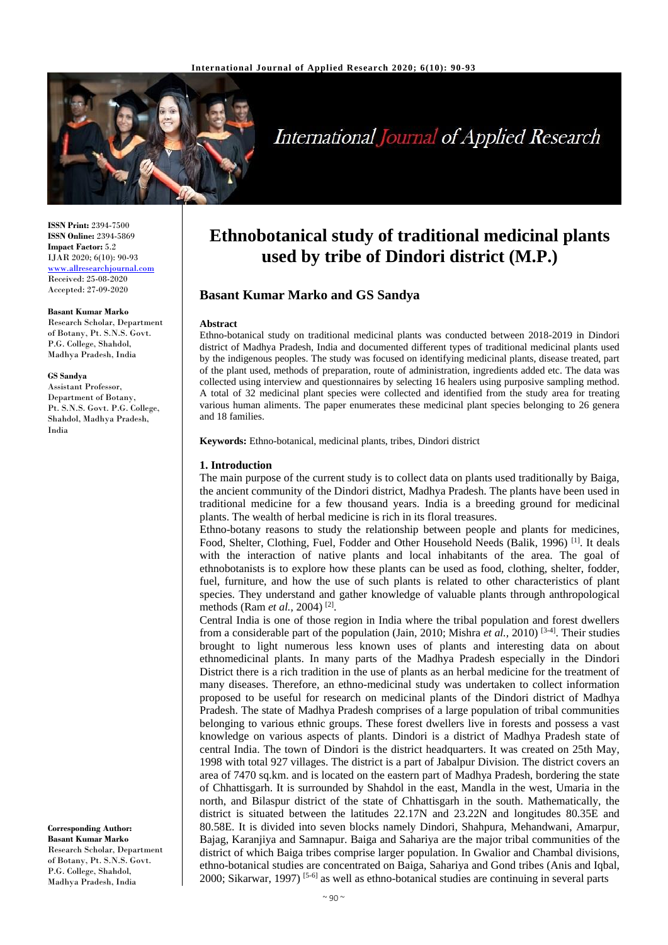

# **International Journal of Applied Research**

**ISSN Print:** 2394-7500 **ISSN Online:** 2394-5869 **Impact Factor:** 5.2 IJAR 2020; 6(10): 90-93 <www.allresearchjournal.com> Received: 25-08-2020 Accepted: 27-09-2020

#### **Basant Kumar Marko**

Research Scholar, Department of Botany, Pt. S.N.S. Govt. P.G. College, Shahdol, Madhya Pradesh, India

#### **GS Sandya**

Assistant Professor, Department of Botany, Pt. S.N.S. Govt. P.G. College, Shahdol, Madhya Pradesh, India

**Corresponding Author: Basant Kumar Marko** Research Scholar, Department of Botany, Pt. S.N.S. Govt. P.G. College, Shahdol, Madhya Pradesh, India

# **Ethnobotanical study of traditional medicinal plants used by tribe of Dindori district (M.P.)**

# **Basant Kumar Marko and GS Sandya**

#### **Abstract**

Ethno-botanical study on traditional medicinal plants was conducted between 2018-2019 in Dindori district of Madhya Pradesh, India and documented different types of traditional medicinal plants used by the indigenous peoples. The study was focused on identifying medicinal plants, disease treated, part of the plant used, methods of preparation, route of administration, ingredients added etc. The data was collected using interview and questionnaires by selecting 16 healers using purposive sampling method. A total of 32 medicinal plant species were collected and identified from the study area for treating various human aliments. The paper enumerates these medicinal plant species belonging to 26 genera and 18 families.

**Keywords:** Ethno-botanical, medicinal plants, tribes, Dindori district

#### **1. Introduction**

The main purpose of the current study is to collect data on plants used traditionally by Baiga, the ancient community of the Dindori district, Madhya Pradesh. The plants have been used in traditional medicine for a few thousand years. India is a breeding ground for medicinal plants. The wealth of herbal medicine is rich in its floral treasures.

Ethno-botany reasons to study the relationship between people and plants for medicines, Food, Shelter, Clothing, Fuel, Fodder and Other Household Needs (Balik, 1996)<sup>[1]</sup>. It deals with the interaction of native plants and local inhabitants of the area. The goal of ethnobotanists is to explore how these plants can be used as food, clothing, shelter, fodder, fuel, furniture, and how the use of such plants is related to other characteristics of plant species. They understand and gather knowledge of valuable plants through anthropological methods (Ram *et al.*, 2004) [2] .

Central India is one of those region in India where the tribal population and forest dwellers from a considerable part of the population (Jain*,* 2010; Mishra *et al.,* 2010) [3-4]. Their studies brought to light numerous less known uses of plants and interesting data on about ethnomedicinal plants. In many parts of the Madhya Pradesh especially in the Dindori District there is a rich tradition in the use of plants as an herbal medicine for the treatment of many diseases. Therefore, an ethno-medicinal study was undertaken to collect information proposed to be useful for research on medicinal plants of the Dindori district of Madhya Pradesh. The state of Madhya Pradesh comprises of a large population of tribal communities belonging to various ethnic groups. These forest dwellers live in forests and possess a vast knowledge on various aspects of plants. Dindori is a district of Madhya Pradesh state of central India. The town of Dindori is the district headquarters. It was created on 25th May, 1998 with total 927 villages. The district is a part of Jabalpur Division. The district covers an area of 7470 sq.km. and is located on the eastern part of Madhya Pradesh, bordering the state of Chhattisgarh. It is surrounded by Shahdol in the east, Mandla in the west, Umaria in the north, and Bilaspur district of the state of Chhattisgarh in the south. Mathematically, the district is situated between the latitudes 22.17N and 23.22N and longitudes 80.35E and 80.58E. It is divided into seven blocks namely Dindori, Shahpura, Mehandwani, Amarpur, Bajag, Karanjiya and Samnapur. Baiga and Sahariya are the major tribal communities of the district of which Baiga tribes comprise larger population. In Gwalior and Chambal divisions, ethno-botanical studies are concentrated on Baiga, Sahariya and Gond tribes (Anis and Iqbal, 2000; Sikarwar, 1997) [5-6] as well as ethno-botanical studies are continuing in several parts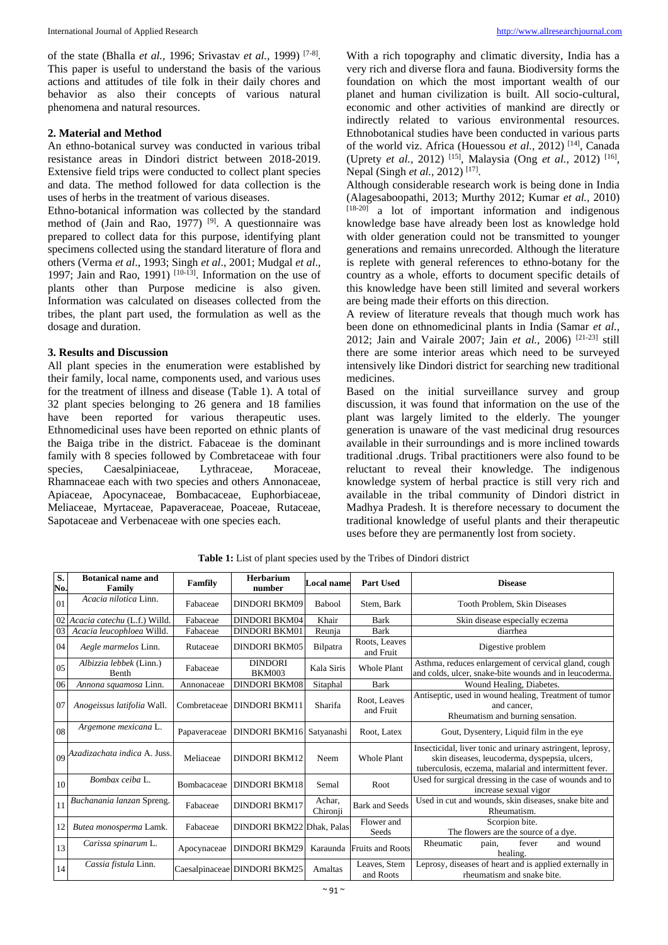of the state (Bhalla *et al.,* 1996; Srivastav *et al.,* 1999) [7-8] . This paper is useful to understand the basis of the various actions and attitudes of tile folk in their daily chores and behavior as also their concepts of various natural phenomena and natural resources.

# **2. Material and Method**

An ethno-botanical survey was conducted in various tribal resistance areas in Dindori district between 2018-2019. Extensive field trips were conducted to collect plant species and data. The method followed for data collection is the uses of herbs in the treatment of various diseases.

Ethno-botanical information was collected by the standard method of (Jain and Rao, 1977)  $[9]$ . A questionnaire was prepared to collect data for this purpose, identifying plant specimens collected using the standard literature of flora and others (Verma *et al*., 1993; Singh *et al*., 2001; Mudgal *et al*., 1997; Jain and Rao, 1991)  $[10-13]$ . Information on the use of plants other than Purpose medicine is also given. Information was calculated on diseases collected from the tribes, the plant part used, the formulation as well as the dosage and duration.

# **3. Results and Discussion**

All plant species in the enumeration were established by their family, local name, components used, and various uses for the treatment of illness and disease (Table 1). A total of 32 plant species belonging to 26 genera and 18 families have been reported for various therapeutic uses. Ethnomedicinal uses have been reported on ethnic plants of the Baiga tribe in the district. Fabaceae is the dominant family with 8 species followed by Combretaceae with four species, Caesalpiniaceae, Lythraceae, Moraceae, Rhamnaceae each with two species and others Annonaceae, Apiaceae, Apocynaceae, Bombacaceae, Euphorbiaceae, Meliaceae, Myrtaceae, Papaveraceae, Poaceae, Rutaceae, Sapotaceae and Verbenaceae with one species each.

With a rich topography and climatic diversity, India has a very rich and diverse flora and fauna. Biodiversity forms the foundation on which the most important wealth of our planet and human civilization is built. All socio-cultural, economic and other activities of mankind are directly or indirectly related to various environmental resources. Ethnobotanical studies have been conducted in various parts of the world viz. Africa (Houessou *et al.,* 2012) [14], Canada (Uprety *et al.,* 2012) [15], Malaysia (Ong *et al.,* 2012) [16] , Nepal (Singh *et al.*, 2012)<sup>[17]</sup>.

Although considerable research work is being done in India (Alagesaboopathi, 2013; Murthy 2012; Kumar *et al.,* 2010)  $[18-20]$  a lot of important information and indigenous knowledge base have already been lost as knowledge hold with older generation could not be transmitted to younger generations and remains unrecorded. Although the literature is replete with general references to ethno-botany for the country as a whole, efforts to document specific details of this knowledge have been still limited and several workers are being made their efforts on this direction.

A review of literature reveals that though much work has been done on ethnomedicinal plants in India (Samar *et al.,*  2012; Jain and Vairale 2007; Jain *et al.,* 2006) [21-23] still there are some interior areas which need to be surveyed intensively like Dindori district for searching new traditional medicines.

Based on the initial surveillance survey and group discussion, it was found that information on the use of the plant was largely limited to the elderly. The younger generation is unaware of the vast medicinal drug resources available in their surroundings and is more inclined towards traditional .drugs. Tribal practitioners were also found to be reluctant to reveal their knowledge. The indigenous knowledge system of herbal practice is still very rich and available in the tribal community of Dindori district in Madhya Pradesh. It is therefore necessary to document the traditional knowledge of useful plants and their therapeutic uses before they are permanently lost from society.

| S.<br>No. | <b>Botanical name and</b><br>Family | <b>Famfily</b>     | Herbarium<br>number             | <b>Local name</b>  | <b>Part Used</b>           | <b>Disease</b>                                                                                                                                                        |
|-----------|-------------------------------------|--------------------|---------------------------------|--------------------|----------------------------|-----------------------------------------------------------------------------------------------------------------------------------------------------------------------|
| 01        | Acacia nilotica Linn.               | Fabaceae           | <b>DINDORI BKM09</b>            | <b>Babool</b>      | Stem, Bark                 | Tooth Problem, Skin Diseases                                                                                                                                          |
|           | 02 Acacia catechu (L.f.) Willd.     | Fabaceae           | <b>DINDORI BKM04</b>            | Khair              | <b>Bark</b>                | Skin disease especially eczema                                                                                                                                        |
| 03        | Acacia leucophloea Willd.           | Fabaceae           | <b>DINDORI BKM01</b>            | Reunja             | <b>Bark</b>                | diarrhea                                                                                                                                                              |
| 04        | Aegle marmelos Linn.                | Rutaceae           | DINDORI BKM05                   | Bilpatra           | Roots, Leaves<br>and Fruit | Digestive problem                                                                                                                                                     |
| 05        | Albizzia lebbek (Linn.)<br>Benth    | Fabaceae           | <b>DINDORI</b><br><b>BKM003</b> | Kala Siris         | <b>Whole Plant</b>         | Asthma, reduces enlargement of cervical gland, cough<br>and colds, ulcer, snake-bite wounds and in leucoderma.                                                        |
| 06        | Annona squamosa Linn.               | Annonaceae         | <b>DINDORI BKM08</b>            | Sitaphal           | <b>Bark</b>                | Wound Healing, Diabetes.                                                                                                                                              |
| 07        | Anogeissus latifolia Wall.          | Combretaceae       | <b>DINDORI BKM11</b>            | Sharifa            | Root, Leaves<br>and Fruit  | Antiseptic, used in wound healing, Treatment of tumor<br>and cancer.<br>Rheumatism and burning sensation.                                                             |
| 08        | Argemone mexicana L.                | Papaveraceae       | DINDORI BKM16 Satyanashi        |                    | Root, Latex                | Gout, Dysentery, Liquid film in the eye                                                                                                                               |
|           | 09 Azadizachata indica A. Juss.     | Meliaceae          | <b>DINDORI BKM12</b>            | Neem               | <b>Whole Plant</b>         | Insecticidal, liver tonic and urinary astringent, leprosy,<br>skin diseases, leucoderma, dyspepsia, ulcers,<br>tuberculosis, eczema, malarial and intermittent fever. |
| 10        | Bombax ceiba L.                     | <b>Bombacaceae</b> | DINDORI BKM18                   | Semal              | Root                       | Used for surgical dressing in the case of wounds and to<br>increase sexual vigor                                                                                      |
| 11        | Buchanania lanzan Spreng.           | Fabaceae           | <b>DINDORI BKM17</b>            | Achar.<br>Chironji | <b>Bark and Seeds</b>      | Used in cut and wounds, skin diseases, snake bite and<br>Rheumatism.                                                                                                  |
| 12        | Butea monosperma Lamk.              | Fabaceae           | DINDORI BKM22 Dhak, Palas       |                    | Flower and<br>Seeds        | Scorpion bite.<br>The flowers are the source of a dye.                                                                                                                |
| 13        | Carissa spinarum L.                 | Apocynaceae        | <b>DINDORI BKM29</b>            | Karaunda           | <b>Fruits and Roots</b>    | fever<br>Rheumatic<br>and wound<br>pain,<br>healing.                                                                                                                  |
| 14        | Cassia fistula Linn.                |                    | Caesalpinaceae DINDORI BKM25    | Amaltas            | Leaves, Stem<br>and Roots  | Leprosy, diseases of heart and is applied externally in<br>rheumatism and snake bite.                                                                                 |

**Table 1:** List of plant species used by the Tribes of Dindori district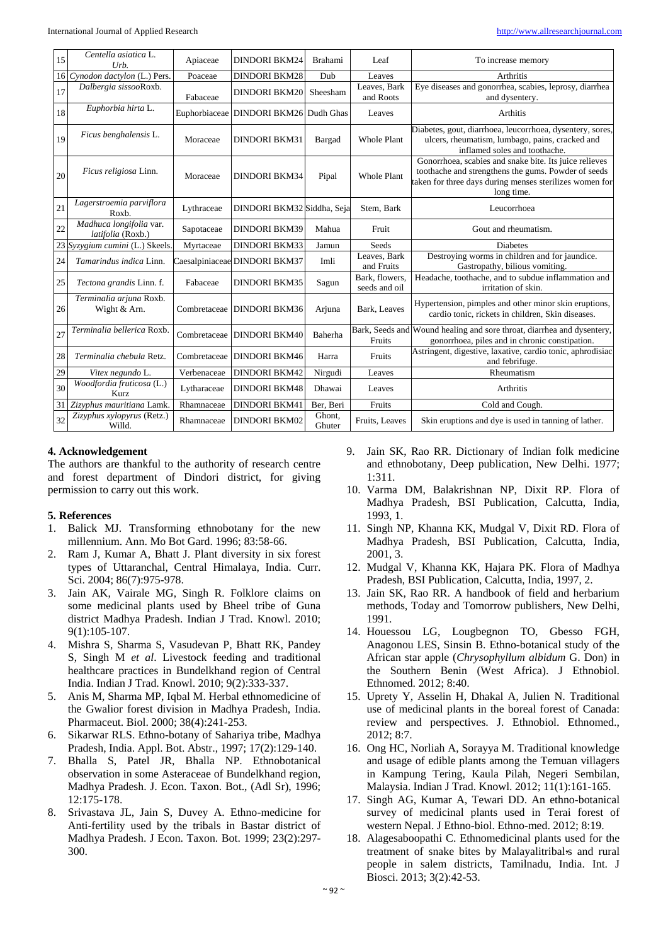| 15 | Centella asiatica L.<br>$_{Urb.}$            | Apiaceae      | <b>DINDORI BKM24</b>          | <b>Brahami</b>   | Leaf                            | To increase memory                                                                                                                                                                     |
|----|----------------------------------------------|---------------|-------------------------------|------------------|---------------------------------|----------------------------------------------------------------------------------------------------------------------------------------------------------------------------------------|
|    | 16 Cynodon dactylon (L.) Pers.               | Poaceae       | <b>DINDORI BKM28</b>          | Dub              | Leaves                          | <b>Arthritis</b>                                                                                                                                                                       |
| 17 | Dalbergia sissooRoxb.                        | Fabaceae      | <b>DINDORI BKM20</b>          | Sheesham         | Leaves, Bark<br>and Roots       | Eye diseases and gonorrhea, scabies, leprosy, diarrhea<br>and dysentery.                                                                                                               |
| 18 | Euphorbia hirta L.                           | Euphorbiaceae | DINDORI BKM26 Dudh Ghas       |                  | Leaves                          | <b>Arthitis</b>                                                                                                                                                                        |
| 19 | Ficus benghalensis L.                        | Moraceae      | <b>DINDORI BKM31</b>          | Bargad           | <b>Whole Plant</b>              | Diabetes, gout, diarrhoea, leucorrhoea, dysentery, sores,<br>ulcers, rheumatism, lumbago, pains, cracked and<br>inflamed soles and toothache.                                          |
| 20 | Ficus religiosa Linn.                        | Moraceae      | <b>DINDORI BKM34</b>          | Pipal            | <b>Whole Plant</b>              | Gonorrhoea, scabies and snake bite. Its juice relieves<br>toothache and strengthens the gums. Powder of seeds<br>taken for three days during menses sterilizes women for<br>long time. |
| 21 | Lagerstroemia parviflora<br>Roxb.            | Lythraceae    | DINDORI BKM32 Siddha, Seja    |                  | Stem, Bark                      | Leucorrhoea                                                                                                                                                                            |
| 22 | Madhuca longifolia var.<br>latifolia (Roxb.) | Sapotaceae    | <b>DINDORI BKM39</b>          | Mahua            | Fruit                           | Gout and rheumatism.                                                                                                                                                                   |
|    | 23 Syzygium cumini (L.) Skeels.              | Myrtaceae     | <b>DINDORI BKM33</b>          | Jamun            | Seeds                           | <b>Diabetes</b>                                                                                                                                                                        |
| 24 | Tamarindus indica Linn.                      |               | Caesalpiniaceae DINDORI BKM37 | Imli             | Leaves, Bark<br>and Fruits      | Destroying worms in children and for jaundice.<br>Gastropathy, bilious vomiting.                                                                                                       |
| 25 | Tectona grandis Linn. f.                     | Fabaceae      | <b>DINDORI BKM35</b>          | Sagun            | Bark, flowers,<br>seeds and oil | Headache, toothache, and to subdue inflammation and<br>irritation of skin.                                                                                                             |
| 26 | Terminalia arjuna Roxb.<br>Wight & Arn.      | Combretaceae  | <b>DINDORI BKM36</b>          | Arjuna           | Bark, Leaves                    | Hypertension, pimples and other minor skin eruptions,<br>cardio tonic, rickets in children, Skin diseases.                                                                             |
| 27 | Terminalia bellerica Roxb.                   | Combretaceae  | <b>DINDORI BKM40</b>          | Baherha          | Fruits                          | Bark, Seeds and Wound healing and sore throat, diarrhea and dysentery,<br>gonorrhoea, piles and in chronic constipation.                                                               |
| 28 | Terminalia chebula Retz.                     | Combretaceae  | <b>DINDORI BKM46</b>          | Harra            | Fruits                          | Astringent, digestive, laxative, cardio tonic, aphrodisiac<br>and febrifuge.                                                                                                           |
| 29 | Vitex negundo L.                             | Verbenaceae   | <b>DINDORI BKM42</b>          | Nirgudi          | Leaves                          | Rheumatism                                                                                                                                                                             |
| 30 | Woodfordia fruticosa (L.)<br>Kurz            | Lytharaceae   | <b>DINDORI BKM48</b>          | Dhawai           | Leaves                          | Arthritis                                                                                                                                                                              |
| 31 | Zizyphus mauritiana Lamk.                    | Rhamnaceae    | <b>DINDORI BKM41</b>          | Ber, Beri        | Fruits                          | Cold and Cough.                                                                                                                                                                        |
| 32 | Zizyphus xylopyrus (Retz.)<br>Willd.         | Rhamnaceae    | <b>DINDORI BKM02</b>          | Ghont,<br>Ghuter | Fruits, Leaves                  | Skin eruptions and dye is used in tanning of lather.                                                                                                                                   |

# **4. Acknowledgement**

The authors are thankful to the authority of research centre and forest department of Dindori district, for giving permission to carry out this work.

#### **5. References**

- 1. Balick MJ. Transforming ethnobotany for the new millennium. Ann. Mo Bot Gard. 1996; 83:58-66.
- 2. Ram J, Kumar A, Bhatt J. Plant diversity in six forest types of Uttaranchal, Central Himalaya, India. Curr. Sci. 2004; 86(7):975-978.
- 3. Jain AK, Vairale MG, Singh R. Folklore claims on some medicinal plants used by Bheel tribe of Guna district Madhya Pradesh. Indian J Trad. Knowl. 2010; 9(1):105-107.
- 4. Mishra S, Sharma S, Vasudevan P, Bhatt RK, Pandey S, Singh M *et al*. Livestock feeding and traditional healthcare practices in Bundelkhand region of Central India. Indian J Trad. Knowl. 2010; 9(2):333-337.
- 5. Anis M, Sharma MP, Iqbal M. Herbal ethnomedicine of the Gwalior forest division in Madhya Pradesh, India. Pharmaceut. Biol. 2000; 38(4):241-253.
- 6. Sikarwar RLS. Ethno-botany of Sahariya tribe, Madhya Pradesh, India. Appl. Bot. Abstr., 1997; 17(2):129-140.
- 7. Bhalla S, Patel JR, Bhalla NP. Ethnobotanical observation in some Asteraceae of Bundelkhand region, Madhya Pradesh. J. Econ. Taxon. Bot., (Adl Sr), 1996; 12:175-178.
- 8. Srivastava JL, Jain S, Duvey A. Ethno-medicine for Anti-fertility used by the tribals in Bastar district of Madhya Pradesh. J Econ. Taxon. Bot. 1999; 23(2):297- 300.
- 9. Jain SK, Rao RR. Dictionary of Indian folk medicine and ethnobotany, Deep publication, New Delhi. 1977; 1:311.
- 10. Varma DM, Balakrishnan NP, Dixit RP. Flora of Madhya Pradesh, BSI Publication, Calcutta, India, 1993, 1.
- 11. Singh NP, Khanna KK, Mudgal V, Dixit RD. Flora of Madhya Pradesh, BSI Publication, Calcutta, India, 2001, 3.
- 12. Mudgal V, Khanna KK, Hajara PK. Flora of Madhya Pradesh, BSI Publication, Calcutta, India, 1997, 2.
- 13. Jain SK, Rao RR. A handbook of field and herbarium methods, Today and Tomorrow publishers, New Delhi, 1991.
- 14. Houessou LG, Lougbegnon TO, Gbesso FGH, Anagonou LES, Sinsin B. Ethno-botanical study of the African star apple (*Chrysophyllum albidum* G. Don) in the Southern Benin (West Africa). J Ethnobiol. Ethnomed. 2012; 8:40.
- 15. Uprety Y, Asselin H, Dhakal A, Julien N. Traditional use of medicinal plants in the boreal forest of Canada: review and perspectives. J. Ethnobiol. Ethnomed., 2012; 8:7.
- 16. Ong HC, Norliah A, Sorayya M. Traditional knowledge and usage of edible plants among the Temuan villagers in Kampung Tering, Kaula Pilah, Negeri Sembilan, Malaysia. Indian J Trad. Knowl. 2012; 11(1):161-165.
- 17. Singh AG, Kumar A, Tewari DD. An ethno-botanical survey of medicinal plants used in Terai forest of western Nepal. J Ethno-biol. Ethno-med. 2012; 8:19.
- 18. Alagesaboopathi C. Ethnomedicinal plants used for the treatment of snake bites by Malayalitribal<sup>5</sup>s and rural people in salem districts, Tamilnadu, India. Int. J Biosci. 2013; 3(2):42-53.